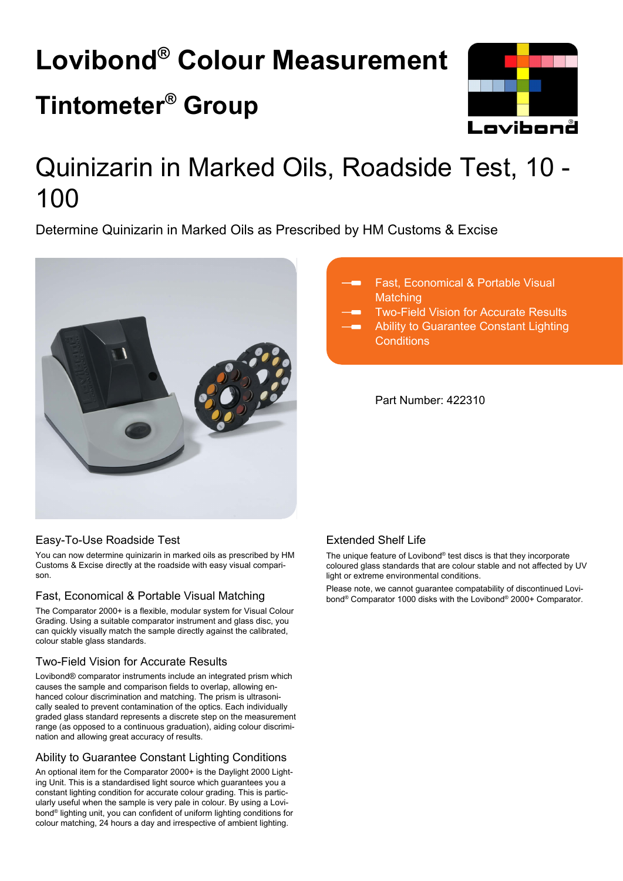# **Lovibond® Colour Measurement Tintometer® Group**



# Quinizarin in Marked Oils, Roadside Test, 10 - 100

Determine Quinizarin in Marked Oils as Prescribed by HM Customs & Excise



# Fast, Economical & Portable Visual **Matching**

- Two-Field Vision for Accurate Results
- Ability to Guarantee Constant Lighting **Conditions**

Part Number: 422310

# Easy-To-Use Roadside Test

You can now determine quinizarin in marked oils as prescribed by HM Customs & Excise directly at the roadside with easy visual comparison.

# Fast, Economical & Portable Visual Matching

The Comparator 2000+ is a flexible, modular system for Visual Colour Grading. Using a suitable comparator instrument and glass disc, you can quickly visually match the sample directly against the calibrated, colour stable glass standards.

# Two-Field Vision for Accurate Results

Lovibond® comparator instruments include an integrated prism which causes the sample and comparison fields to overlap, allowing enhanced colour discrimination and matching. The prism is ultrasonically sealed to prevent contamination of the optics. Each individually graded glass standard represents a discrete step on the measurement range (as opposed to a continuous graduation), aiding colour discrimination and allowing great accuracy of results.

# Ability to Guarantee Constant Lighting Conditions

An optional item for the Comparator 2000+ is the Daylight 2000 Lighting Unit. This is a standardised light source which guarantees you a constant lighting condition for accurate colour grading. This is particularly useful when the sample is very pale in colour. By using a Lovibond® lighting unit, you can confident of uniform lighting conditions for colour matching, 24 hours a day and irrespective of ambient lighting.

# Extended Shelf Life

The unique feature of Lovibond® test discs is that they incorporate coloured glass standards that are colour stable and not affected by UV light or extreme environmental conditions.

Please note, we cannot guarantee compatability of discontinued Lovibond® Comparator 1000 disks with the Lovibond® 2000+ Comparator.